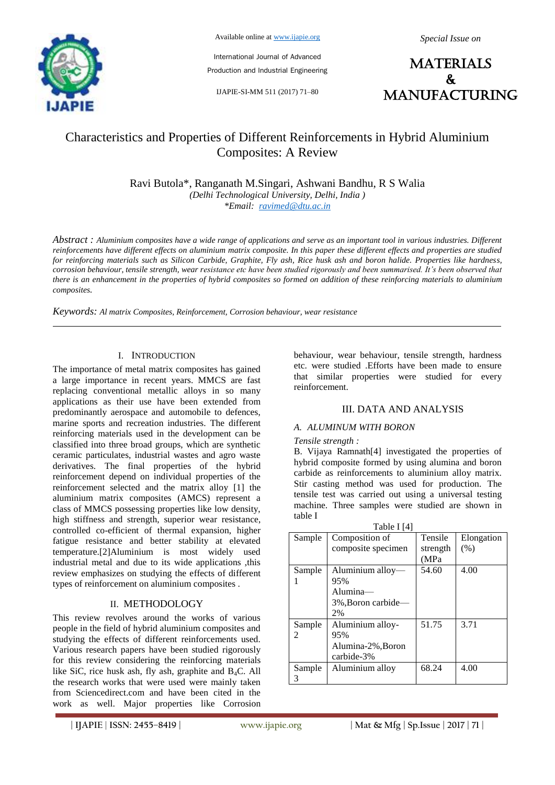

Available online at www.ijapie.org

International Journal of Advanced Production and Industrial Engineering

IJAPIE-SI-MM 511 (2017) 71–80

**MATERIALS**  $\mathbf{r}$ manufacturing

# Characteristics and Properties of Different Reinforcements in Hybrid Aluminium Composites: A Review

Ravi Butola\*, Ranganath M.Singari, Ashwani Bandhu, R S Walia *(Delhi Technological University, Delhi, India ) \*Email: ravimed@dtu.ac.in*

*Abstract : Aluminium composites have a wide range of applications and serve as an important tool in various industries. Different reinforcements have different effects on aluminium matrix composite. In this paper these different effects and properties are studied for reinforcing materials such as Silicon Carbide, Graphite, Fly ash, Rice husk ash and boron halide. Properties like hardness, corrosion behaviour, tensile strength, wear resistance etc have been studied rigorously and been summarised. It's been observed that there is an enhancement in the properties of hybrid composites so formed on addition of these reinforcing materials to aluminium composites.*

*Keywords: Al matrix Composites, Reinforcement, Corrosion behaviour, wear resistance*

### I. INTRODUCTION

The importance of metal matrix composites has gained a large importance in recent years. MMCS are fast replacing conventional metallic alloys in so many applications as their use have been extended from predominantly aerospace and automobile to defences, marine sports and recreation industries. The different reinforcing materials used in the development can be classified into three broad groups, which are synthetic ceramic particulates, industrial wastes and agro waste derivatives. The final properties of the hybrid reinforcement depend on individual properties of the reinforcement selected and the matrix alloy [1] the aluminium matrix composites (AMCS) represent a class of MMCS possessing properties like low density, high stiffness and strength, superior wear resistance, controlled co-efficient of thermal expansion, higher fatigue resistance and better stability at elevated temperature.[2]Aluminium is most widely used industrial metal and due to its wide applications ,this review emphasizes on studying the effects of different types of reinforcement on aluminium composites .

# II. METHODOLOGY

This review revolves around the works of various people in the field of hybrid aluminium composites and studying the effects of different reinforcements used. Various research papers have been studied rigorously for this review considering the reinforcing materials like SiC, rice husk ash, fly ash, graphite and  $B_4C$ . All the research works that were used were mainly taken from Sciencedirect.com and have been cited in the work as well. Major properties like Corrosion

behaviour, wear behaviour, tensile strength, hardness etc. were studied .Efforts have been made to ensure that similar properties were studied for every reinforcement.

# III. DATA AND ANALYSIS

### *A. ALUMINUM WITH BORON*

#### *Tensile strength :*

B. Vijaya Ramnath[4] investigated the properties of hybrid composite formed by using alumina and boron carbide as reinforcements to aluminium alloy matrix. Stir casting method was used for production. The tensile test was carried out using a universal testing machine. Three samples were studied are shown in table I

| Table I [4] |                    |          |            |  |
|-------------|--------------------|----------|------------|--|
| Sample      | Composition of     | Tensile  | Elongation |  |
|             | composite specimen | strength | (% )       |  |
|             |                    | (MPa     |            |  |
| Sample      | Aluminium alloy-   | 54.60    | 4.00       |  |
|             | 95%                |          |            |  |
|             | Alumina-           |          |            |  |
|             | 3%, Boron carbide- |          |            |  |
|             | 2%                 |          |            |  |
| Sample      | Aluminium alloy-   | 51.75    | 3.71       |  |
| 2           | 95%                |          |            |  |
|             | Alumina-2%, Boron  |          |            |  |
|             | carbide-3%         |          |            |  |
| Sample      | Aluminium alloy    | 68.24    | 4.00       |  |
| 3           |                    |          |            |  |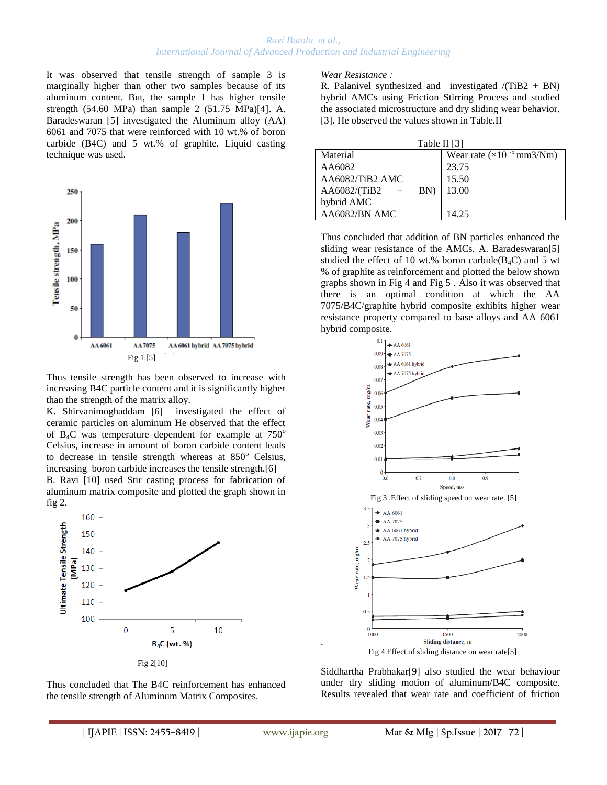It was observed that tensile strength of sample 3 is marginally higher than other two samples because of its aluminum content. But, the sample 1 has higher tensile strength (54.60 MPa) than sample 2 (51.75 MPa)[4]. A. Baradeswaran [5] investigated the Aluminum alloy (AA) 6061 and 7075 that were reinforced with 10 wt.% of boron carbide (B4C) and 5 wt.% of graphite. Liquid casting technique was used.



Thus tensile strength has been observed to increase with increasing B4C particle content and it is significantly higher than the strength of the matrix alloy.

K. Shirvanimoghaddam [6] investigated the effect of ceramic particles on aluminum He observed that the effect of  $B_4C$  was temperature dependent for example at  $750^\circ$ Celsius, increase in amount of boron carbide content leads to decrease in tensile strength whereas at  $850^\circ$  Celsius, increasing boron carbide increases the tensile strength.[6]

B. Ravi [10] used Stir casting process for fabrication of aluminum matrix composite and plotted the graph shown in fig 2.





#### *Wear Resistance :*

R. Palanivel synthesized and investigated  $/$ (TiB2 + BN) hybrid AMCs using Friction Stirring Process and studied the associated microstructure and dry sliding wear behavior. [3]. He observed the values shown in Table.II

| Table II [3]        |                                     |  |
|---------------------|-------------------------------------|--|
| Material            | Wear rate $(\times 10^{-5}$ mm3/Nm) |  |
| AA6082              | 23.75                               |  |
| AA6082/TiB2 AMC     | 15.50                               |  |
| AA6082/(TiB2<br>BN) | 13.00                               |  |
| hybrid AMC          |                                     |  |
| AA6082/BN AMC       | 14.25                               |  |

Thus concluded that addition of BN particles enhanced the sliding wear resistance of the AMCs. A. Baradeswaran[5] studied the effect of 10 wt.% boron carbide( $B_4C$ ) and 5 wt % of graphite as reinforcement and plotted the below shown graphs shown in Fig 4 and Fig 5 . Also it was observed that there is an optimal condition at which the AA 7075/B4C/graphite hybrid composite exhibits higher wear resistance property compared to base alloys and AA 6061 hybrid composite.



Siddhartha Prabhakar[9] also studied the wear behaviour under dry sliding motion of aluminum/B4C composite. Results revealed that wear rate and coefficient of friction

.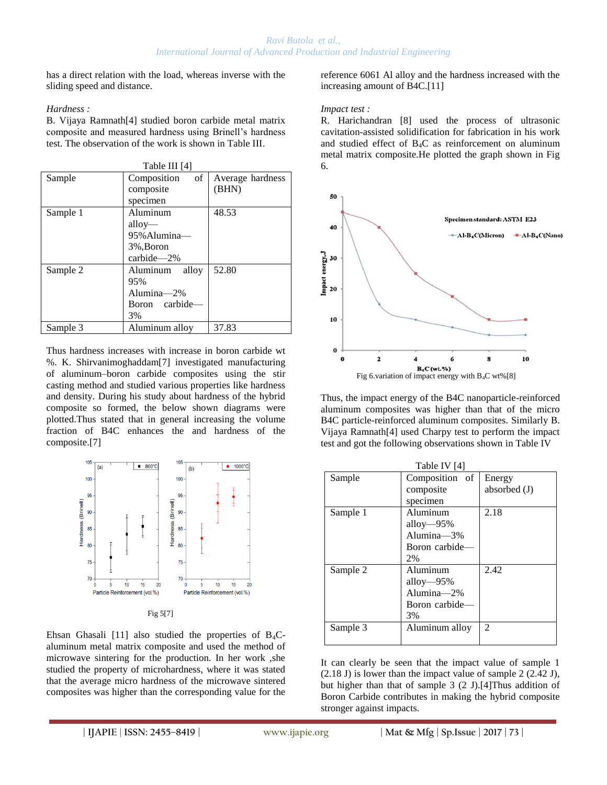has a direct relation with the load, whereas inverse with the sliding speed and distance.

### *Hardness :*

B. Vijaya Ramnath[4] studied boron carbide metal matrix composite and measured hardness using Brinell's hardness test. The observation of the work is shown in Table III.

| Table III [4] |                                |                  |  |  |
|---------------|--------------------------------|------------------|--|--|
| Sample        | of <sub>1</sub><br>Composition | Average hardness |  |  |
|               | composite                      | (BHN)            |  |  |
|               | specimen                       |                  |  |  |
| Sample 1      | Aluminum                       | 48.53            |  |  |
|               | $\text{allow}$ —               |                  |  |  |
|               | 95% Alumina-                   |                  |  |  |
|               | 3%, Boron                      |                  |  |  |
|               | carbide-2%                     |                  |  |  |
| Sample 2      | alloy<br>Aluminum              | 52.80            |  |  |
|               | 95%                            |                  |  |  |
|               | Alumina-2%                     |                  |  |  |
|               | Boron carbide-                 |                  |  |  |
|               | 3%                             |                  |  |  |
| Sample 3      | Aluminum alloy                 | 37.83            |  |  |

Thus hardness increases with increase in boron carbide wt %. K. Shirvanimoghaddam[7] investigated manufacturing of aluminum–boron carbide composites using the stir casting method and studied various properties like hardness and density. During his study about hardness of the hybrid composite so formed, the below shown diagrams were plotted.Thus stated that in general increasing the volume fraction of B4C enhances the and hardness of the composite.[7]



Fig 5[7]

Ehsan Ghasali [11] also studied the properties of  $B_4C$ aluminum metal matrix composite and used the method of microwave sintering for the production. In her work ,she studied the property of microhardness, where it was stated that the average micro hardness of the microwave sintered composites was higher than the corresponding value for the reference 6061 Al alloy and the hardness increased with the increasing amount of B4C.[11]

### *Impact test :*

R. Harichandran [8] used the process of ultrasonic cavitation-assisted solidification for fabrication in his work and studied effect of B4C as reinforcement on aluminum metal matrix composite.He plotted the graph shown in Fig 6.



Thus, the impact energy of the B4C nanoparticle-reinforced aluminum composites was higher than that of the micro B4C particle-reinforced aluminum composites. Similarly B. Vijaya Ramnath[4] used Charpy test to perform the impact test and got the following observations shown in Table IV

| Table IV [4] |                |                |  |  |
|--------------|----------------|----------------|--|--|
| Sample       | Composition of | Energy         |  |  |
|              | composite      | absorbed $(J)$ |  |  |
|              | specimen       |                |  |  |
| Sample 1     | Aluminum       | 2.18           |  |  |
|              | alloy $-95%$   |                |  |  |
|              | Alumina $-3\%$ |                |  |  |
|              | Boron carbide- |                |  |  |
|              | 2%             |                |  |  |
| Sample 2     | Aluminum       | 2.42           |  |  |
|              | alloy— $95%$   |                |  |  |
|              | Alumina $-2\%$ |                |  |  |
|              | Boron carbide- |                |  |  |
|              | 3%             |                |  |  |
| Sample 3     | Aluminum alloy | 2              |  |  |
|              |                |                |  |  |

It can clearly be seen that the impact value of sample 1 (2.18 J) is lower than the impact value of sample 2 (2.42 J), but higher than that of sample 3 (2 J).[4]Thus addition of Boron Carbide contributes in making the hybrid composite stronger against impacts.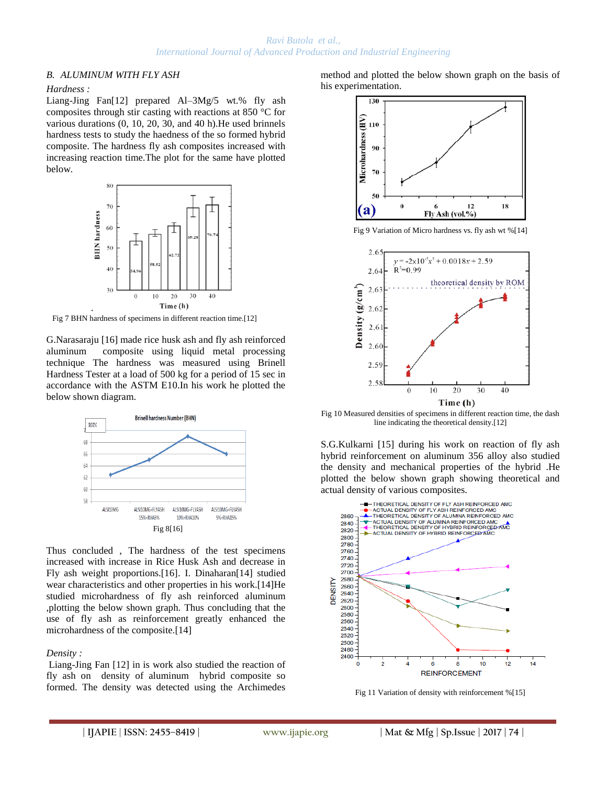### *Ravi Butola et al., International Journal of Advanced Production and Industrial Engineering*

# *B. ALUMINUM WITH FLY ASH*

### *Hardness :*

Liang-Jing Fan[12] prepared Al–3Mg/5 wt.% fly ash composites through stir casting with reactions at 850 °C for various durations (0, 10, 20, 30, and 40 h).He used brinnels hardness tests to study the haedness of the so formed hybrid composite. The hardness fly ash composites increased with increasing reaction time.The plot for the same have plotted below.



Fig 7 BHN hardness of specimens in different reaction time.[12]

G.Narasaraju [16] made rice husk ash and fly ash reinforced aluminum composite using liquid metal processing technique The hardness was measured using Brinell Hardness Tester at a load of 500 kg for a period of 15 sec in accordance with the ASTM E10.In his work he plotted the below shown diagram.



Thus concluded , The hardness of the test specimens increased with increase in Rice Husk Ash and decrease in Fly ash weight proportions.[16]. I. Dinaharan[14] studied wear characteristics and other properties in his work.[14]He studied microhardness of fly ash reinforced aluminum ,plotting the below shown graph. Thus concluding that the use of fly ash as reinforcement greatly enhanced the microhardness of the composite.[14]

### *Density :*

Liang-Jing Fan [12] in is work also studied the reaction of fly ash on density of aluminum hybrid composite so formed. The density was detected using the Archimedes method and plotted the below shown graph on the basis of his experimentation.



Fig 9 Variation of Micro hardness vs. fly ash wt %[14]



Fig 10 Measured densities of specimens in different reaction time, the dash line indicating the theoretical density.[12]

S.G.Kulkarni [15] during his work on reaction of fly ash hybrid reinforcement on aluminum 356 alloy also studied the density and mechanical properties of the hybrid .He plotted the below shown graph showing theoretical and actual density of various composites.



Fig 11 Variation of density with reinforcement %[15]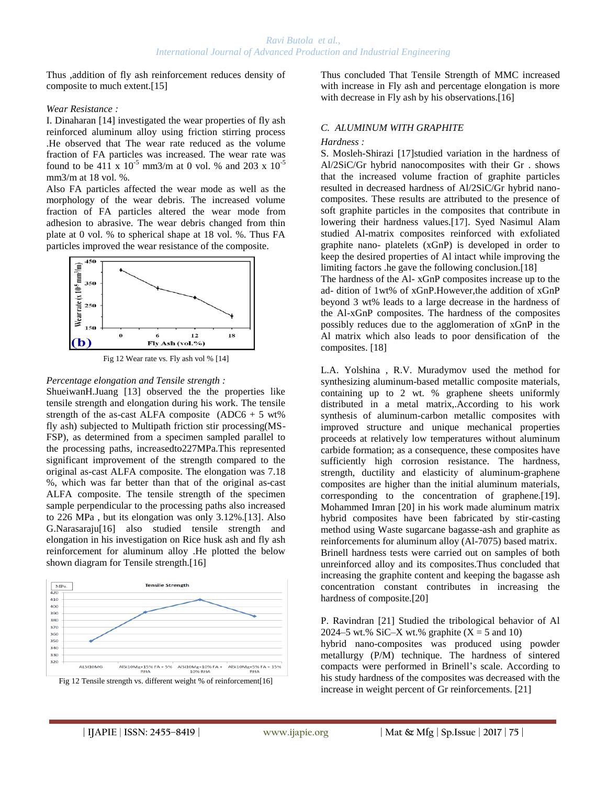Thus ,addition of fly ash reinforcement reduces density of composite to much extent.[15]

### *Wear Resistance :*

I. Dinaharan [14] investigated the wear properties of fly ash reinforced aluminum alloy using friction stirring process .He observed that The wear rate reduced as the volume fraction of FA particles was increased. The wear rate was found to be 411 x  $10^{-5}$  mm3/m at 0 vol. % and 203 x  $10^{-5}$ mm3/m at 18 vol. %.

Also FA particles affected the wear mode as well as the morphology of the wear debris. The increased volume fraction of FA particles altered the wear mode from adhesion to abrasive. The wear debris changed from thin plate at 0 vol. % to spherical shape at 18 vol. %. Thus FA particles improved the wear resistance of the composite.



Fig 12 Wear rate vs. Fly ash vol % [14]

### *Percentage elongation and Tensile strength :*

ShueiwanH.Juang [13] observed the the properties like tensile strength and elongation during his work. The tensile strength of the as-cast ALFA composite  $(ADC6 + 5 wt\%)$ fly ash) subjected to Multipath friction stir processing(MS-FSP), as determined from a specimen sampled parallel to the processing paths, increasedto227MPa.This represented significant improvement of the strength compared to the original as-cast ALFA composite. The elongation was 7.18 %, which was far better than that of the original as-cast ALFA composite. The tensile strength of the specimen sample perpendicular to the processing paths also increased to 226 MPa , but its elongation was only 3.12%.[13]. Also G.Narasaraju[16] also studied tensile strength and elongation in his investigation on Rice husk ash and fly ash reinforcement for aluminum alloy .He plotted the below shown diagram for Tensile strength.[16]





Thus concluded That Tensile Strength of MMC increased with increase in Fly ash and percentage elongation is more with decrease in Fly ash by his observations.[16]

# *C. ALUMINUM WITH GRAPHITE*

### *Hardness :*

S. Mosleh-Shirazi [17]studied variation in the hardness of Al/2SiC/Gr hybrid nanocomposites with their Gr . shows that the increased volume fraction of graphite particles resulted in decreased hardness of Al/2SiC/Gr hybrid nanocomposites. These results are attributed to the presence of soft graphite particles in the composites that contribute in lowering their hardness values.[17]. Syed Nasimul Alam studied Al-matrix composites reinforced with exfoliated graphite nano- platelets (xGnP) is developed in order to keep the desired properties of Al intact while improving the limiting factors .he gave the following conclusion.[18]

The hardness of the Al- xGnP composites increase up to the ad- dition of 1wt% of xGnP.However,the addition of xGnP beyond 3 wt% leads to a large decrease in the hardness of the Al-xGnP composites. The hardness of the composites possibly reduces due to the agglomeration of xGnP in the Al matrix which also leads to poor densification of the composites. [18]

L.A. Yolshina , R.V. Muradymov used the method for synthesizing aluminum-based metallic composite materials, containing up to 2 wt. % graphene sheets uniformly distributed in a metal matrix,.According to his work synthesis of aluminum-carbon metallic composites with improved structure and unique mechanical properties proceeds at relatively low temperatures without aluminum carbide formation; as a consequence, these composites have sufficiently high corrosion resistance. The hardness, strength, ductility and elasticity of aluminum-graphene composites are higher than the initial aluminum materials, corresponding to the concentration of graphene.[19]. Mohammed Imran [20] in his work made aluminum matrix hybrid composites have been fabricated by stir-casting method using Waste sugarcane bagasse-ash and graphite as reinforcements for aluminum alloy (Al-7075) based matrix. Brinell hardness tests were carried out on samples of both unreinforced alloy and its composites.Thus concluded that increasing the graphite content and keeping the bagasse ash concentration constant contributes in increasing the hardness of composite.[20]

P. Ravindran [21] Studied the tribological behavior of Al 2024–5 wt.% SiC–X wt.% graphite  $(X = 5 \text{ and } 10)$ 

hybrid nano-composites was produced using powder metallurgy (P/M) technique. The hardness of sintered compacts were performed in Brinell's scale. According to his study hardness of the composites was decreased with the increase in weight percent of Gr reinforcements. [21]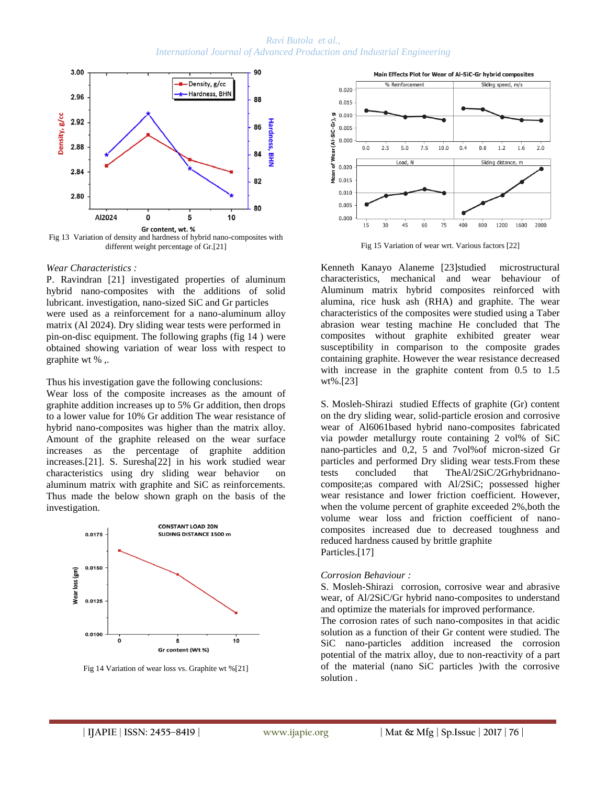*Ravi Butola et al., International Journal of Advanced Production and Industrial Engineering*



different weight percentage of Gr.[21]

#### *Wear Characteristics :*

P. Ravindran [21] investigated properties of aluminum hybrid nano-composites with the additions of solid lubricant. investigation, nano-sized SiC and Gr particles were used as a reinforcement for a nano-aluminum alloy matrix (Al 2024). Dry sliding wear tests were performed in pin-on-disc equipment. The following graphs (fig 14 ) were obtained showing variation of wear loss with respect to graphite wt % ,.

Thus his investigation gave the following conclusions:

Wear loss of the composite increases as the amount of graphite addition increases up to 5% Gr addition, then drops to a lower value for 10% Gr addition The wear resistance of hybrid nano-composites was higher than the matrix alloy. Amount of the graphite released on the wear surface increases as the percentage of graphite addition increases.[21]. S. Suresha[22] in his work studied wear characteristics using dry sliding wear behavior on aluminum matrix with graphite and SiC as reinforcements. Thus made the below shown graph on the basis of the investigation.



Fig 14 Variation of wear loss vs. Graphite wt %[21]



Fig 15 Variation of wear wrt. Various factors [22]

Kenneth Kanayo Alaneme [23]studied microstructural characteristics, mechanical and wear behaviour of Aluminum matrix hybrid composites reinforced with alumina, rice husk ash (RHA) and graphite. The wear characteristics of the composites were studied using a Taber abrasion wear testing machine He concluded that The composites without graphite exhibited greater wear susceptibility in comparison to the composite grades containing graphite. However the wear resistance decreased with increase in the graphite content from 0.5 to 1.5 wt%.[23]

S. Mosleh-Shirazi studied Effects of graphite (Gr) content on the dry sliding wear, solid-particle erosion and corrosive wear of Al6061based hybrid nano-composites fabricated via powder metallurgy route containing 2 vol% of SiC nano-particles and 0,2, 5 and 7vol%of micron-sized Gr particles and performed Dry sliding wear tests.From these tests concluded that TheAl/2SiC/2Grhybridnanocomposite;as compared with Al/2SiC; possessed higher wear resistance and lower friction coefficient. However, when the volume percent of graphite exceeded 2%, both the volume wear loss and friction coefficient of nanocomposites increased due to decreased toughness and reduced hardness caused by brittle graphite Particles.[17]

#### *Corrosion Behaviour :*

S. Mosleh-Shirazi corrosion, corrosive wear and abrasive wear, of Al/2SiC/Gr hybrid nano-composites to understand and optimize the materials for improved performance.

The corrosion rates of such nano-composites in that acidic solution as a function of their Gr content were studied. The SiC nano-particles addition increased the corrosion potential of the matrix alloy, due to non-reactivity of a part of the material (nano SiC particles )with the corrosive solution .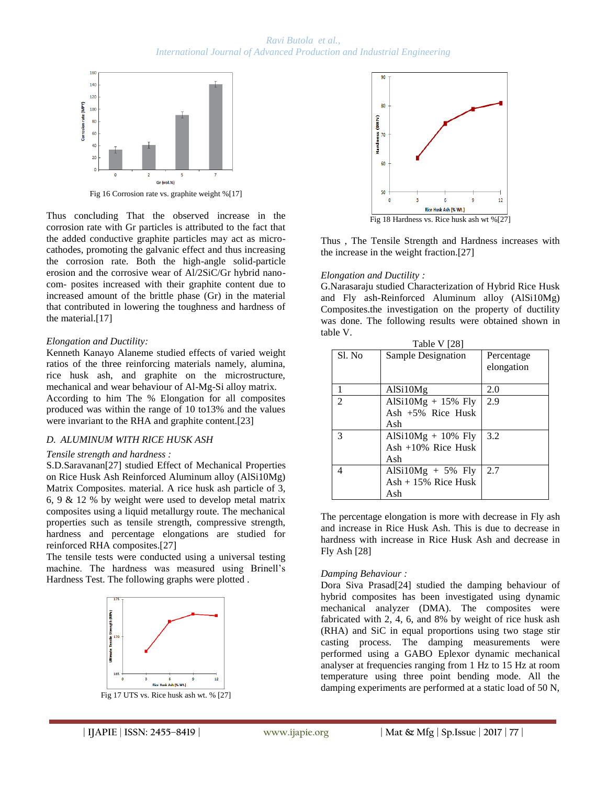

Thus concluding That the observed increase in the corrosion rate with Gr particles is attributed to the fact that the added conductive graphite particles may act as microcathodes, promoting the galvanic effect and thus increasing the corrosion rate. Both the high-angle solid-particle erosion and the corrosive wear of Al/2SiC/Gr hybrid nanocom- posites increased with their graphite content due to increased amount of the brittle phase (Gr) in the material that contributed in lowering the toughness and hardness of the material.[17]

# *Elongation and Ductility:*

Kenneth Kanayo Alaneme studied effects of varied weight ratios of the three reinforcing materials namely, alumina, rice husk ash, and graphite on the microstructure, mechanical and wear behaviour of Al-Mg-Si alloy matrix. According to him The % Elongation for all composites produced was within the range of 10 to13% and the values were invariant to the RHA and graphite content.[23]

# *D. ALUMINUM WITH RICE HUSK ASH*

### *Tensile strength and hardness :*

S.D.Saravanan[27] studied Effect of Mechanical Properties on Rice Husk Ash Reinforced Aluminum alloy (AlSi10Mg) Matrix Composites. material. A rice husk ash particle of 3, 6, 9 & 12 % by weight were used to develop metal matrix composites using a liquid metallurgy route. The mechanical properties such as tensile strength, compressive strength, hardness and percentage elongations are studied for reinforced RHA composites.[27]

The tensile tests were conducted using a universal testing machine. The hardness was measured using Brinell's Hardness Test. The following graphs were plotted .



Fig 17 UTS vs. Rice husk ash wt. % [27]



Fig 18 Hardness vs. Rice husk ash wt %[27]

Thus , The Tensile Strength and Hardness increases with the increase in the weight fraction.[27]

### *Elongation and Ductility :*

G.Narasaraju studied Characterization of Hybrid Rice Husk and Fly ash-Reinforced Aluminum alloy (AlSi10Mg) Composites.the investigation on the property of ductility was done. The following results were obtained shown in table V.

| Table V [28]   |                                                       |                          |  |
|----------------|-------------------------------------------------------|--------------------------|--|
| Sl. No         | Sample Designation                                    | Percentage<br>elongation |  |
|                | AlSi10Mg                                              | 2.0                      |  |
| $\overline{2}$ | AlSi $10Mg + 15%$ Fly<br>Ash $+5\%$ Rice Husk<br>Ash  | 2.9                      |  |
| 3              | $AlSi10Mg + 10\%$ Fly<br>Ash $+10\%$ Rice Husk<br>Ash | 3.2                      |  |
| 4              | AlSi10Mg $+ 5\%$ Fly<br>$Ash + 15\%$ Rice Husk<br>Ash | 2.7                      |  |

The percentage elongation is more with decrease in Fly ash and increase in Rice Husk Ash. This is due to decrease in hardness with increase in Rice Husk Ash and decrease in Fly Ash [28]

# *Damping Behaviour :*

Dora Siva Prasad[24] studied the damping behaviour of hybrid composites has been investigated using dynamic mechanical analyzer (DMA). The composites were fabricated with 2, 4, 6, and 8% by weight of rice husk ash (RHA) and SiC in equal proportions using two stage stir casting process. The damping measurements were performed using a GABO Eplexor dynamic mechanical analyser at frequencies ranging from 1 Hz to 15 Hz at room temperature using three point bending mode. All the damping experiments are performed at a static load of 50 N,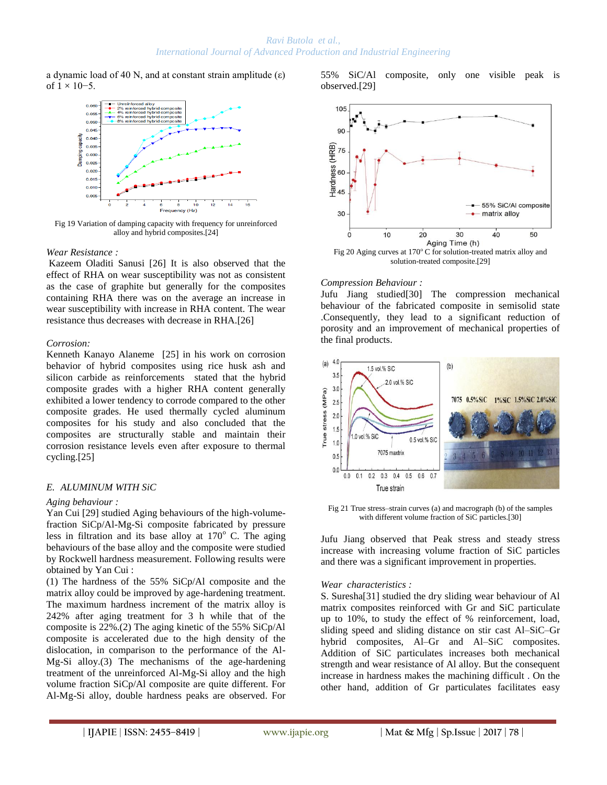a dynamic load of 40 N, and at constant strain amplitude (ε) of  $1 \times 10-5$ .



Fig 19 Variation of damping capacity with frequency for unreinforced alloy and hybrid composites.[24]

#### *Wear Resistance :*

Kazeem Oladiti Sanusi [26] It is also observed that the effect of RHA on wear susceptibility was not as consistent as the case of graphite but generally for the composites containing RHA there was on the average an increase in wear susceptibility with increase in RHA content. The wear resistance thus decreases with decrease in RHA.[26]

### *Corrosion:*

Kenneth Kanayo Alaneme [25] in his work on corrosion behavior of hybrid composites using rice husk ash and silicon carbide as reinforcements stated that the hybrid composite grades with a higher RHA content generally exhibited a lower tendency to corrode compared to the other composite grades. He used thermally cycled aluminum composites for his study and also concluded that the composites are structurally stable and maintain their corrosion resistance levels even after exposure to thermal cycling.[25]

# *E. ALUMINUM WITH SiC*

### *Aging behaviour :*

Yan Cui [29] studied Aging behaviours of the high-volumefraction SiCp/Al-Mg-Si composite fabricated by pressure less in filtration and its base alloy at  $170^{\circ}$  C. The aging behaviours of the base alloy and the composite were studied by Rockwell hardness measurement. Following results were obtained by Yan Cui :

(1) The hardness of the 55% SiCp/Al composite and the matrix alloy could be improved by age-hardening treatment. The maximum hardness increment of the matrix alloy is 242% after aging treatment for 3 h while that of the composite is 22%.(2) The aging kinetic of the 55% SiCp/Al composite is accelerated due to the high density of the dislocation, in comparison to the performance of the Al-Mg-Si alloy.(3) The mechanisms of the age-hardening treatment of the unreinforced Al-Mg-Si alloy and the high volume fraction SiCp/Al composite are quite different. For Al-Mg-Si alloy, double hardness peaks are observed. For 55% SiC/Al composite, only one visible peak is observed.[29]



### *Compression Behaviour :*

Jufu Jiang studied[30] The compression mechanical behaviour of the fabricated composite in semisolid state .Consequently, they lead to a significant reduction of porosity and an improvement of mechanical properties of the final products.



Fig 21 True stress–strain curves (a) and macrograph (b) of the samples with different volume fraction of SiC particles.[30]

Jufu Jiang observed that Peak stress and steady stress increase with increasing volume fraction of SiC particles and there was a significant improvement in properties.

### *Wear characteristics :*

S. Suresha[31] studied the dry sliding wear behaviour of Al matrix composites reinforced with Gr and SiC particulate up to 10%, to study the effect of % reinforcement, load, sliding speed and sliding distance on stir cast Al–SiC–Gr hybrid composites, Al–Gr and Al–SiC composites. Addition of SiC particulates increases both mechanical strength and wear resistance of Al alloy. But the consequent increase in hardness makes the machining difficult . On the other hand, addition of Gr particulates facilitates easy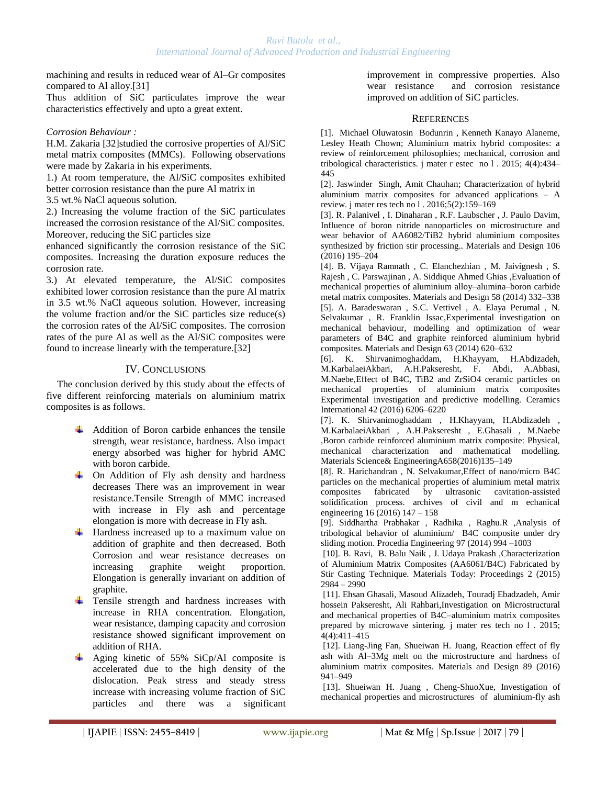machining and results in reduced wear of Al–Gr composites compared to Al alloy.[31]

Thus addition of SiC particulates improve the wear characteristics effectively and upto a great extent.

### *Corrosion Behaviour :*

H.M. Zakaria [32]studied the corrosive properties of Al/SiC metal matrix composites (MMCs). Following observations were made by Zakaria in his experiments.

1.) At room temperature, the Al/SiC composites exhibited better corrosion resistance than the pure Al matrix in

3.5 wt.% NaCl aqueous solution.

2.) Increasing the volume fraction of the SiC particulates increased the corrosion resistance of the Al/SiC composites. Moreover, reducing the SiC particles size

enhanced significantly the corrosion resistance of the SiC composites. Increasing the duration exposure reduces the corrosion rate.

3.) At elevated temperature, the Al/SiC composites exhibited lower corrosion resistance than the pure Al matrix in 3.5 wt.% NaCl aqueous solution. However, increasing the volume fraction and/or the SiC particles size reduce(s) the corrosion rates of the Al/SiC composites. The corrosion rates of the pure Al as well as the Al/SiC composites were found to increase linearly with the temperature.[32]

# IV. CONCLUSIONS

The conclusion derived by this study about the effects of five different reinforcing materials on aluminium matrix composites is as follows.

- $\overline{\phantom{a}}$  Addition of Boron carbide enhances the tensile strength, wear resistance, hardness. Also impact energy absorbed was higher for hybrid AMC with boron carbide.
- $\overline{\phantom{a}}$  On Addition of Fly ash density and hardness decreases There was an improvement in wear resistance.Tensile Strength of MMC increased with increase in Fly ash and percentage elongation is more with decrease in Fly ash.
- Hardness increased up to a maximum value on addition of graphite and then decreased. Both Corrosion and wear resistance decreases on increasing graphite weight proportion. Elongation is generally invariant on addition of graphite.

₩. Tensile strength and hardness increases with increase in RHA concentration. Elongation, wear resistance, damping capacity and corrosion resistance showed significant improvement on addition of RHA.

Aging kinetic of 55% SiCp/Al composite is accelerated due to the high density of the dislocation. Peak stress and steady stress increase with increasing volume fraction of SiC particles and there was a significant improvement in compressive properties. Also wear resistance and corrosion resistance improved on addition of SiC particles.

### **REFERENCES**

[1]. Michael Oluwatosin Bodunrin , Kenneth Kanayo Alaneme, Lesley Heath Chown; Aluminium matrix hybrid composites: a review of reinforcement philosophies; mechanical, corrosion and tribological characteristics. j mater r estec no l . 2015; 4(4):434– 445

[2]. Jaswinder Singh, Amit Chauhan; Characterization of hybrid aluminium matrix composites for advanced applications – A review. j mater res tech no l . 2016;5(2):159–169

[3]. R. Palanivel , I. Dinaharan , R.F. Laubscher , J. Paulo Davim, Influence of boron nitride nanoparticles on microstructure and wear behavior of AA6082/TiB2 hybrid aluminium composites synthesized by friction stir processing.. Materials and Design 106 (2016) 195–204

[4]. B. Vijaya Ramnath , C. Elanchezhian , M. Jaivignesh , S. Rajesh , C. Parswajinan , A. Siddique Ahmed Ghias ,Evaluation of mechanical properties of aluminium alloy–alumina–boron carbide metal matrix composites. Materials and Design 58 (2014) 332–338 [5]. A. Baradeswaran , S.C. Vettivel , A. Elaya Perumal , N. Selvakumar , R. Franklin Issac,Experimental investigation on mechanical behaviour, modelling and optimization of wear parameters of B4C and graphite reinforced aluminium hybrid composites. Materials and Design 63 (2014) 620–632

[6]. K. Shirvanimoghaddam, H.Khayyam, H.Abdizadeh, M.KarbalaeiAkbari, A.H.Pakseresht, F. Abdi, A.Abbasi, M.Naebe,Effect of B4C, TiB2 and ZrSiO4 ceramic particles on mechanical properties of aluminium matrix composites Experimental investigation and predictive modelling. Ceramics International 42 (2016) 6206–6220

[7]. K. Shirvanimoghaddam , H.Khayyam, H.Abdizadeh , M.KarbalaeiAkbari , A.H.Pakseresht , E.Ghasali , M.Naebe ,Boron carbide reinforced aluminium matrix composite: Physical, mechanical characterization and mathematical modelling. Materials Science& EngineeringA658(2016)135–149

[8]. R. Harichandran , N. Selvakumar,Effect of nano/micro B4C particles on the mechanical properties of aluminium metal matrix composites fabricated by ultrasonic cavitation-assisted solidification process. archives of civil and m echanical engineering 16 (2016) 147 – 158

[9]. Siddhartha Prabhakar , Radhika , Raghu.R ,Analysis of tribological behavior of aluminium/ B4C composite under dry sliding motion. Procedia Engineering 97 (2014) 994 –1003

[10]. B. Ravi, B. Balu Naik , J. Udaya Prakash ,Characterization of Aluminium Matrix Composites (AA6061/B4C) Fabricated by Stir Casting Technique. Materials Today: Proceedings 2 (2015) 2984 – 2990

[11]. Ehsan Ghasali, Masoud Alizadeh, Touradj Ebadzadeh, Amir hossein Pakseresht, Ali Rahbari,Investigation on Microstructural and mechanical properties of B4C–aluminium matrix composites prepared by microwave sintering. j mater res tech no l . 2015; 4(4):411–415

[12]. Liang-Jing Fan, Shueiwan H. Juang, Reaction effect of fly ash with Al–3Mg melt on the microstructure and hardness of aluminium matrix composites. Materials and Design 89 (2016) 941–949

[13]. Shueiwan H. Juang , Cheng-ShuoXue, Investigation of mechanical properties and microstructures of aluminium-fly ash